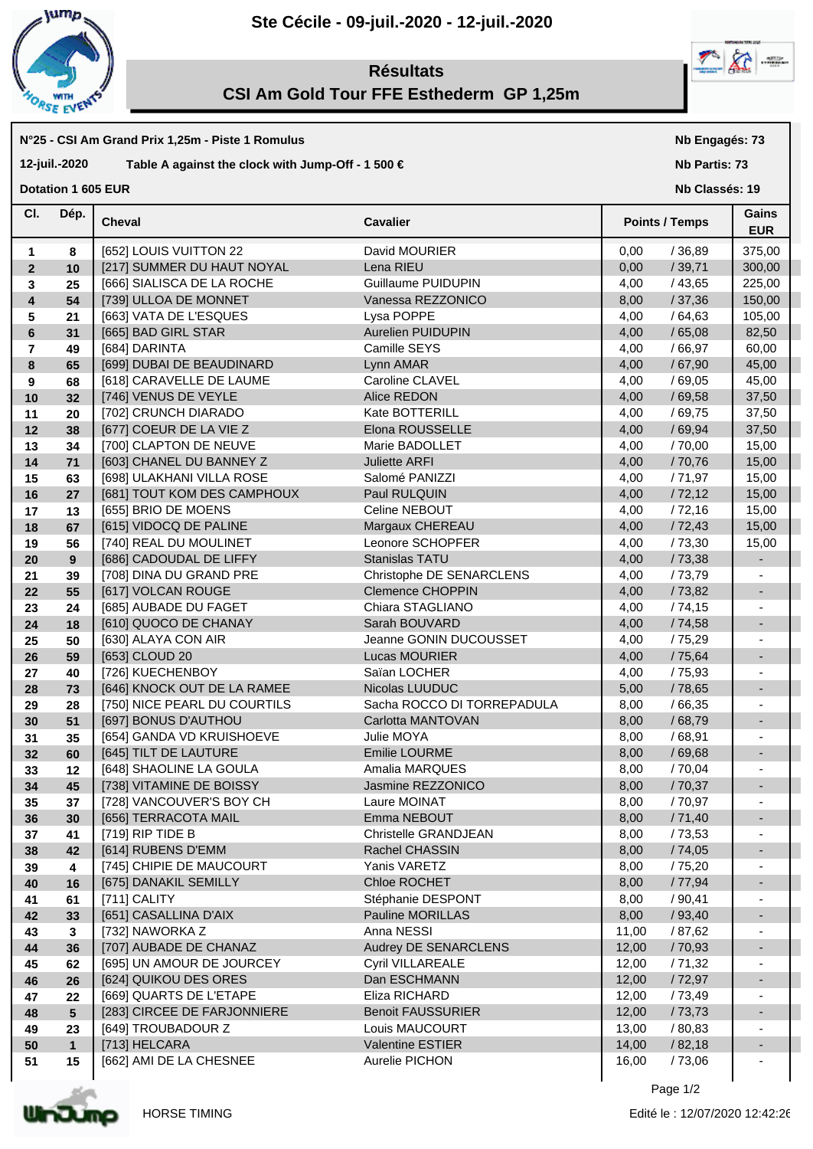

## **Ste Cécile - 09-juil.-2020 - 12-juil.-2020**



# **Résultats CSI Am Gold Tour FFE Esthederm GP 1,25m**

#### **N°25 - CSI Am Grand Prix 1,25m - Piste 1 Romulus**

### **12-juil.-2020 Table A against the clock with Jump-Off - 1 500 €**

**Dotation 1 605 EUR** 

## **Nb Engagés: 73**

**Nb Partis: 73**

**Nb Classés: 19** 

| CI.                     | Dép.            | <b>Cheval</b>                | <b>Cavalier</b>            | <b>Points / Temps</b> | Gains<br><b>EUR</b>      |
|-------------------------|-----------------|------------------------------|----------------------------|-----------------------|--------------------------|
| $\mathbf{1}$            | 8               | [652] LOUIS VUITTON 22       | David MOURIER              | 0,00<br>/36,89        | 375,00                   |
| $\overline{2}$          | 10              | [217] SUMMER DU HAUT NOYAL   | Lena RIEU                  | 0,00<br>/39,71        | 300,00                   |
| 3                       | 25              | [666] SIALISCA DE LA ROCHE   | Guillaume PUIDUPIN         | 4,00<br>/43,65        | 225,00                   |
| $\overline{\mathbf{4}}$ | 54              | [739] ULLOA DE MONNET        | Vanessa REZZONICO          | 8,00<br>/37,36        | 150,00                   |
| 5                       | 21              | [663] VATA DE L'ESQUES       | Lysa POPPE                 | /64,63<br>4,00        | 105,00                   |
| 6                       | 31              | [665] BAD GIRL STAR          | Aurelien PUIDUPIN          | /65,08<br>4,00        | 82,50                    |
| $\overline{\mathbf{r}}$ | 49              | [684] DARINTA                | Camille SEYS               | 4,00<br>/66,97        | 60,00                    |
| 8                       | 65              | [699] DUBAI DE BEAUDINARD    | Lynn AMAR                  | /67,90<br>4,00        | 45,00                    |
| 9                       | 68              | [618] CARAVELLE DE LAUME     | Caroline CLAVEL            | 4,00<br>/69,05        | 45,00                    |
| 10                      | 32              | [746] VENUS DE VEYLE         | Alice REDON                | /69,58<br>4,00        | 37,50                    |
| 11                      | 20              | [702] CRUNCH DIARADO         | Kate BOTTERILL             | 4,00<br>/69,75        | 37,50                    |
| 12                      | 38              | [677] COEUR DE LA VIE Z      | Elona ROUSSELLE            | /69,94<br>4,00        | 37,50                    |
| 13                      | 34              | [700] CLAPTON DE NEUVE       | Marie BADOLLET             | 4,00<br>/70,00        | 15,00                    |
| 14                      | 71              | [603] CHANEL DU BANNEY Z     | <b>Juliette ARFI</b>       | 4,00<br>/70,76        | 15,00                    |
| 15                      | 63              | [698] ULAKHANI VILLA ROSE    | Salomé PANIZZI             | 4,00<br>/71,97        | 15,00                    |
| 16                      | 27              | [681] TOUT KOM DES CAMPHOUX  | Paul RULQUIN               | /72,12<br>4,00        | 15,00                    |
| 17                      | 13              | [655] BRIO DE MOENS          | Celine NEBOUT              | 4,00<br>/72,16        | 15,00                    |
| 18                      | 67              | [615] VIDOCQ DE PALINE       | Margaux CHEREAU            | /72,43<br>4,00        | 15,00                    |
| 19                      | 56              | [740] REAL DU MOULINET       | Leonore SCHOPFER           | 4,00<br>/73,30        | 15,00                    |
| 20                      | 9               | [686] CADOUDAL DE LIFFY      | Stanislas TATU             | /73,38<br>4,00        |                          |
| 21                      | 39              | [708] DINA DU GRAND PRE      | Christophe DE SENARCLENS   | 4,00<br>/ 73,79       |                          |
| 22                      | 55              | [617] VOLCAN ROUGE           | <b>Clemence CHOPPIN</b>    | 4,00<br>/ 73,82       | $\overline{\phantom{a}}$ |
| 23                      | 24              | [685] AUBADE DU FAGET        | Chiara STAGLIANO           | 4,00<br>/74,15        | $\blacksquare$           |
| 24                      | 18              | [610] QUOCO DE CHANAY        | Sarah BOUVARD              | /74,58<br>4,00        | $\overline{\phantom{a}}$ |
| 25                      | 50              | [630] ALAYA CON AIR          | Jeanne GONIN DUCOUSSET     | 4,00<br>/ 75,29       |                          |
| 26                      | 59              | [653] CLOUD 20               | Lucas MOURIER              | /75,64<br>4,00        | $\overline{\phantom{a}}$ |
| 27                      | 40              | [726] KUECHENBOY             | Saïan LOCHER               | 4,00<br>/75,93        | $\overline{\phantom{a}}$ |
| 28                      | 73              | [646] KNOCK OUT DE LA RAMEE  | Nicolas LUUDUC             | /78,65<br>5,00        | $\overline{\phantom{a}}$ |
| 29                      | 28              | [750] NICE PEARL DU COURTILS | Sacha ROCCO DI TORREPADULA | /66,35<br>8,00        |                          |
| 30                      | 51              | [697] BONUS D'AUTHOU         | Carlotta MANTOVAN          | /68,79<br>8,00        | $\overline{\phantom{a}}$ |
| 31                      | 35              | [654] GANDA VD KRUISHOEVE    | Julie MOYA                 | /68,91<br>8,00        |                          |
| 32                      | 60              | [645] TILT DE LAUTURE        | Emilie LOURME              | /69,68<br>8,00        | $\overline{\phantom{a}}$ |
| 33                      | 12              | [648] SHAOLINE LA GOULA      | Amalia MARQUES             | /70,04<br>8,00        |                          |
| 34                      | 45              | [738] VITAMINE DE BOISSY     | Jasmine REZZONICO          | /70,37<br>8,00        | ٠                        |
| 35                      | 37              | [728] VANCOUVER'S BOY CH     | Laure MOINAT               | 8,00<br>/ 70,97       |                          |
| 36                      | 30 <sub>o</sub> | [656] TERRACOTA MAIL         | Emma NEBOUT                | 8,00<br>/71,40        |                          |
| 37                      | 41              | [719] RIP TIDE B             | Christelle GRANDJEAN       | /73,53<br>8,00        | $\overline{\phantom{a}}$ |
| 38                      | 42              | [614] RUBENS D'EMM           | Rachel CHASSIN             | 8,00<br>/74,05        |                          |
| 39                      | 4               | [745] CHIPIE DE MAUCOURT     | Yanis VARETZ               | 8,00<br>/75,20        |                          |
| 40                      | 16              | [675] DANAKIL SEMILLY        | Chloe ROCHET               | 8,00<br>/77,94        |                          |
| 41                      | 61              | [711] CALITY                 | Stéphanie DESPONT          | 8,00<br>/ 90,41       |                          |
| 42                      | 33              | [651] CASALLINA D'AIX        | Pauline MORILLAS           | / 93,40<br>8,00       |                          |
| 43                      | 3               | [732] NAWORKA Z              | Anna NESSI                 | 11,00<br>/ 87,62      |                          |
| 44                      | 36              | [707] AUBADE DE CHANAZ       | Audrey DE SENARCLENS       | 12,00<br>/70,93       |                          |
| 45                      | 62              | [695] UN AMOUR DE JOURCEY    | Cyril VILLAREALE           | 12,00<br>/71,32       |                          |
| 46                      | 26              | [624] QUIKOU DES ORES        | Dan ESCHMANN               | /72,97<br>12,00       |                          |
| 47                      | 22              | [669] QUARTS DE L'ETAPE      | Eliza RICHARD              | 12,00<br>/73,49       |                          |
| 48                      | $5\overline{)}$ | [283] CIRCEE DE FARJONNIERE  | <b>Benoit FAUSSURIER</b>   | /73,73<br>12,00       |                          |
| 49                      | 23              | [649] TROUBADOUR Z           | Louis MAUCOURT             | 13,00<br>/ 80,83      |                          |
| 50                      | $\mathbf{1}$    | [713] HELCARA                | Valentine ESTIER           | 14,00<br>/82,18       |                          |
| 51                      | 15              | [662] AMI DE LA CHESNEE      | Aurelie PICHON             | 16,00<br>/73,06       |                          |
|                         |                 |                              |                            |                       |                          |

Page  $1/2$